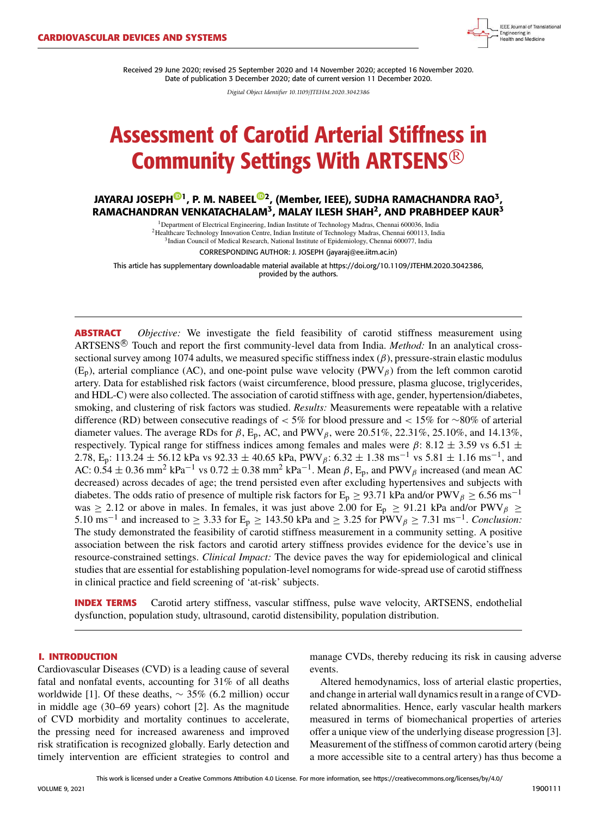

Received 29 June 2020; revised 25 September 2020 and 14 November 2020; accepted 16 November 2020. Date of publication 3 December 2020; date of current version 11 December 2020.

*Digital Object Identifier 10.1109/JTEHM.2020.3042386*

# Assessment of Carotid Arterial Stiffness in Community Settings With ARTSENS <sup>R</sup>

JAYARAJ JOSEPH<sup>®1</sup>, P. M. NABEEL®2, (Member, IEEE), SUDHA RAMACHANDRA RAO<sup>3</sup>, RAMACHANDRAN VENKATACHALAM<sup>3</sup>, MALAY ILESH SHAH<sup>2</sup>, AND PRABHDEEP KAUR<sup>3</sup>

> <sup>1</sup>Department of Electrical Engineering, Indian Institute of Technology Madras, Chennai 600036, India <sup>2</sup>Healthcare Technology Innovation Centre, Indian Institute of Technology Madras, Chennai 600113, India <sup>3</sup>Indian Council of Medical Research, National Institute of Epidemiology, Chennai 600077, India

> > CORRESPONDING AUTHOR: J. JOSEPH (jayaraj@ee.iitm.ac.in)

This article has supplementary downloadable material available at https://doi.org/10.1109/JTEHM.2020.3042386, provided by the authors.

**ABSTRACT** *Objective:* We investigate the field feasibility of carotid stiffness measurement using ARTSENS<sup>®</sup> Touch and report the first community-level data from India. *Method:* In an analytical crosssectional survey among 1074 adults, we measured specific stiffness index  $(\beta)$ , pressure-strain elastic modulus  $(E_p)$ , arterial compliance (AC), and one-point pulse wave velocity (PWV $_\beta$ ) from the left common carotid artery. Data for established risk factors (waist circumference, blood pressure, plasma glucose, triglycerides, and HDL-C) were also collected. The association of carotid stiffness with age, gender, hypertension/diabetes, smoking, and clustering of risk factors was studied. *Results:* Measurements were repeatable with a relative difference (RD) between consecutive readings of < 5% for blood pressure and < 15% for ∼80% of arterial diameter values. The average RDs for  $\beta$ , E<sub>p</sub>, AC, and PWV<sub> $\beta$ </sub>, were 20.51%, 22.31%, 25.10%, and 14.13%, respectively. Typical range for stiffness indices among females and males were  $\beta$ : 8.12  $\pm$  3.59 vs 6.51  $\pm$ 2.78, E<sub>p</sub>: 113.24 ± 56.12 kPa vs 92.33 ± 40.65 kPa, PWV<sub>β</sub>: 6.32 ± 1.38 ms<sup>-1</sup> vs 5.81 ± 1.16 ms<sup>-1</sup>, and AC:  $0.54 \pm 0.36$  mm<sup>2</sup> kPa<sup>-1</sup> vs  $0.72 \pm 0.38$  mm<sup>2</sup> kPa<sup>-1</sup>. Mean  $\beta$ , E<sub>p</sub>, and PWV<sub> $\beta$ </sub> increased (and mean AC decreased) across decades of age; the trend persisted even after excluding hypertensives and subjects with diabetes. The odds ratio of presence of multiple risk factors for E<sub>p</sub> ≥ 93.71 kPa and/or PWV<sub>β</sub> ≥ 6.56 ms<sup>-1</sup> was  $\geq$  2.12 or above in males. In females, it was just above 2.00 for E<sub>p</sub>  $\geq$  91.21 kPa and/or PWV<sub>β</sub>  $\geq$ 5.10 ms<sup>-1</sup> and increased to ≥ 3.33 for E<sub>p</sub> ≥ 143.50 kPa and ≥ 3.25 for PWV<sub>β</sub> ≥ 7.31 ms<sup>-1</sup>. *Conclusion:* The study demonstrated the feasibility of carotid stiffness measurement in a community setting. A positive association between the risk factors and carotid artery stiffness provides evidence for the device's use in resource-constrained settings. *Clinical Impact:* The device paves the way for epidemiological and clinical studies that are essential for establishing population-level nomograms for wide-spread use of carotid stiffness in clinical practice and field screening of 'at-risk' subjects.

**INDEX TERMS** Carotid artery stiffness, vascular stiffness, pulse wave velocity, ARTSENS, endothelial dysfunction, population study, ultrasound, carotid distensibility, population distribution.

#### **I. INTRODUCTION**

Cardiovascular Diseases (CVD) is a leading cause of several fatal and nonfatal events, accounting for 31% of all deaths worldwide [1]. Of these deaths,  $\sim$  35% (6.2 million) occur in middle age (30–69 years) cohort [2]. As the magnitude of CVD morbidity and mortality continues to accelerate, the pressing need for increased awareness and improved risk stratification is recognized globally. Early detection and timely intervention are efficient strategies to control and manage CVDs, thereby reducing its risk in causing adverse events.

Altered hemodynamics, loss of arterial elastic properties, and change in arterial wall dynamics result in a range of CVDrelated abnormalities. Hence, early vascular health markers measured in terms of biomechanical properties of arteries offer a unique view of the underlying disease progression [3]. Measurement of the stiffness of common carotid artery (being a more accessible site to a central artery) has thus become a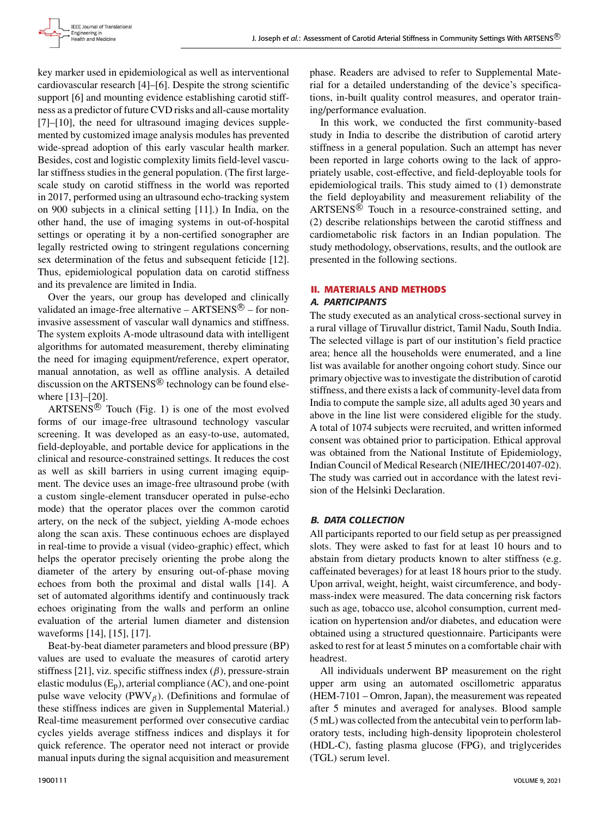key marker used in epidemiological as well as interventional cardiovascular research [4]–[6]. Despite the strong scientific support [6] and mounting evidence establishing carotid stiffness as a predictor of future CVD risks and all-cause mortality [7]–[10], the need for ultrasound imaging devices supplemented by customized image analysis modules has prevented wide-spread adoption of this early vascular health marker. Besides, cost and logistic complexity limits field-level vascular stiffness studies in the general population. (The first largescale study on carotid stiffness in the world was reported in 2017, performed using an ultrasound echo-tracking system on 900 subjects in a clinical setting [11].) In India, on the other hand, the use of imaging systems in out-of-hospital settings or operating it by a non-certified sonographer are legally restricted owing to stringent regulations concerning sex determination of the fetus and subsequent feticide [12]. Thus, epidemiological population data on carotid stiffness and its prevalence are limited in India.

Over the years, our group has developed and clinically validated an image-free alternative  $-$  ARTSENS $^{\circledR}$  – for noninvasive assessment of vascular wall dynamics and stiffness. The system exploits A-mode ultrasound data with intelligent algorithms for automated measurement, thereby eliminating the need for imaging equipment/reference, expert operator, manual annotation, as well as offline analysis. A detailed discussion on the  $ARTSENS^{\circledR}$  technology can be found elsewhere [13]–[20].

 $ARTSENS^{\circledR}$  Touch (Fig. 1) is one of the most evolved forms of our image-free ultrasound technology vascular screening. It was developed as an easy-to-use, automated, field-deployable, and portable device for applications in the clinical and resource-constrained settings. It reduces the cost as well as skill barriers in using current imaging equipment. The device uses an image-free ultrasound probe (with a custom single-element transducer operated in pulse-echo mode) that the operator places over the common carotid artery, on the neck of the subject, yielding A-mode echoes along the scan axis. These continuous echoes are displayed in real-time to provide a visual (video-graphic) effect, which helps the operator precisely orienting the probe along the diameter of the artery by ensuring out-of-phase moving echoes from both the proximal and distal walls [14]. A set of automated algorithms identify and continuously track echoes originating from the walls and perform an online evaluation of the arterial lumen diameter and distension waveforms [14], [15], [17].

Beat-by-beat diameter parameters and blood pressure (BP) values are used to evaluate the measures of carotid artery stiffness [21], viz. specific stiffness index  $(\beta)$ , pressure-strain elastic modulus  $(E_p)$ , arterial compliance  $(AC)$ , and one-point pulse wave velocity (PWV $_\beta$ ). (Definitions and formulae of these stiffness indices are given in Supplemental Material.) Real-time measurement performed over consecutive cardiac cycles yields average stiffness indices and displays it for quick reference. The operator need not interact or provide manual inputs during the signal acquisition and measurement phase. Readers are advised to refer to Supplemental Material for a detailed understanding of the device's specifications, in-built quality control measures, and operator training/performance evaluation.

In this work, we conducted the first community-based study in India to describe the distribution of carotid artery stiffness in a general population. Such an attempt has never been reported in large cohorts owing to the lack of appropriately usable, cost-effective, and field-deployable tools for epidemiological trails. This study aimed to (1) demonstrate the field deployability and measurement reliability of the  $ARTSENS^{\circledR}$  Touch in a resource-constrained setting, and (2) describe relationships between the carotid stiffness and cardiometabolic risk factors in an Indian population. The study methodology, observations, results, and the outlook are presented in the following sections.

## **II. MATERIALS AND METHODS**

#### A. PARTICIPANTS

The study executed as an analytical cross-sectional survey in a rural village of Tiruvallur district, Tamil Nadu, South India. The selected village is part of our institution's field practice area; hence all the households were enumerated, and a line list was available for another ongoing cohort study. Since our primary objective was to investigate the distribution of carotid stiffness, and there exists a lack of community-level data from India to compute the sample size, all adults aged 30 years and above in the line list were considered eligible for the study. A total of 1074 subjects were recruited, and written informed consent was obtained prior to participation. Ethical approval was obtained from the National Institute of Epidemiology, Indian Council of Medical Research (NIE/IHEC/201407-02). The study was carried out in accordance with the latest revision of the Helsinki Declaration.

#### B. DATA COLLECTION

All participants reported to our field setup as per preassigned slots. They were asked to fast for at least 10 hours and to abstain from dietary products known to alter stiffness (e.g. caffeinated beverages) for at least 18 hours prior to the study. Upon arrival, weight, height, waist circumference, and bodymass-index were measured. The data concerning risk factors such as age, tobacco use, alcohol consumption, current medication on hypertension and/or diabetes, and education were obtained using a structured questionnaire. Participants were asked to rest for at least 5 minutes on a comfortable chair with headrest.

All individuals underwent BP measurement on the right upper arm using an automated oscillometric apparatus (HEM-7101 – Omron, Japan), the measurement was repeated after 5 minutes and averaged for analyses. Blood sample (5 mL) was collected from the antecubital vein to perform laboratory tests, including high-density lipoprotein cholesterol (HDL-C), fasting plasma glucose (FPG), and triglycerides (TGL) serum level.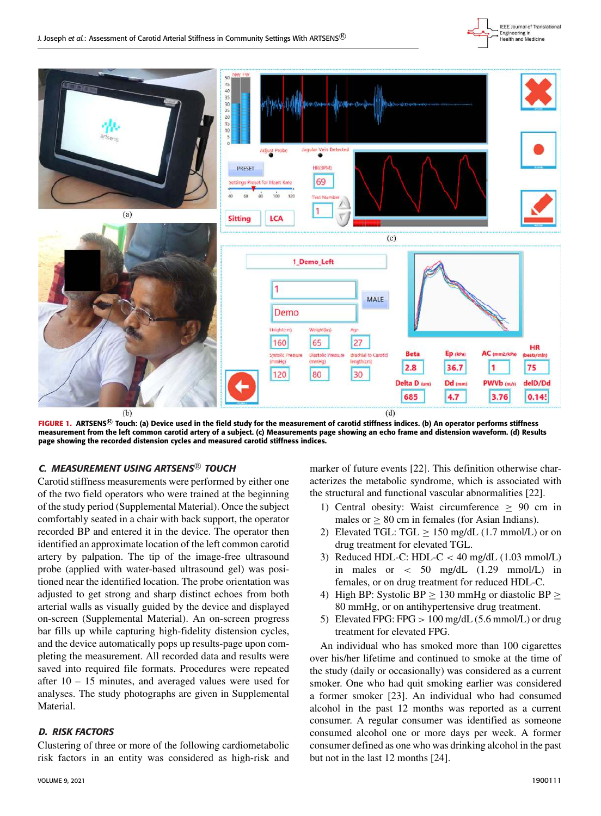



FIGURE 1. ARTSENS<sup>®</sup> Touch: (a) Device used in the field study for the measurement of carotid stiffness indices. (b) An operator performs stiffness measurement from the left common carotid artery of a subject. (c) Measurements page showing an echo frame and distension waveform. (d) Results page showing the recorded distension cycles and measured carotid stiffness indices.

# C. MEASUREMENT USING ARTSENS<sup>®</sup> TOUCH

Carotid stiffness measurements were performed by either one of the two field operators who were trained at the beginning of the study period (Supplemental Material). Once the subject comfortably seated in a chair with back support, the operator recorded BP and entered it in the device. The operator then identified an approximate location of the left common carotid artery by palpation. The tip of the image-free ultrasound probe (applied with water-based ultrasound gel) was positioned near the identified location. The probe orientation was adjusted to get strong and sharp distinct echoes from both arterial walls as visually guided by the device and displayed on-screen (Supplemental Material). An on-screen progress bar fills up while capturing high-fidelity distension cycles, and the device automatically pops up results-page upon completing the measurement. All recorded data and results were saved into required file formats. Procedures were repeated after 10 – 15 minutes, and averaged values were used for analyses. The study photographs are given in Supplemental Material.

# D. RISK FACTORS

Clustering of three or more of the following cardiometabolic risk factors in an entity was considered as high-risk and marker of future events [22]. This definition otherwise characterizes the metabolic syndrome, which is associated with the structural and functional vascular abnormalities [22].

- 1) Central obesity: Waist circumference  $\geq$  90 cm in males or  $> 80$  cm in females (for Asian Indians).
- 2) Elevated TGL: TGL  $\geq$  150 mg/dL (1.7 mmol/L) or on drug treatment for elevated TGL.
- 3) Reduced HDL-C: HDL-C  $<$  40 mg/dL (1.03 mmol/L) in males or < 50 mg/dL (1.29 mmol/L) in females, or on drug treatment for reduced HDL-C.
- 4) High BP: Systolic BP  $\geq$  130 mmHg or diastolic BP  $\geq$ 80 mmHg, or on antihypertensive drug treatment.
- 5) Elevated FPG: FPG > 100 mg/dL (5.6 mmol/L) or drug treatment for elevated FPG.

An individual who has smoked more than 100 cigarettes over his/her lifetime and continued to smoke at the time of the study (daily or occasionally) was considered as a current smoker. One who had quit smoking earlier was considered a former smoker [23]. An individual who had consumed alcohol in the past 12 months was reported as a current consumer. A regular consumer was identified as someone consumed alcohol one or more days per week. A former consumer defined as one who was drinking alcohol in the past but not in the last 12 months [24].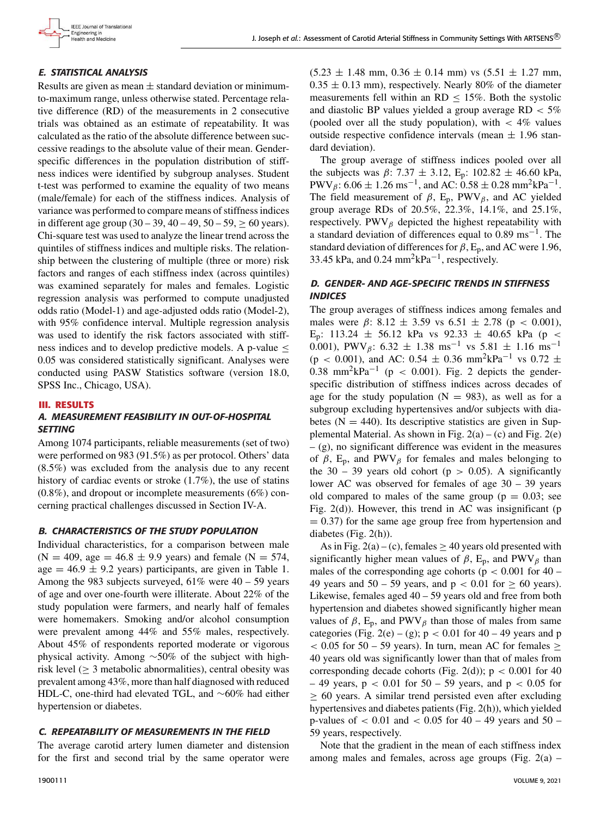# E. STATISTICAL ANALYSIS

Results are given as mean  $\pm$  standard deviation or minimumto-maximum range, unless otherwise stated. Percentage relative difference (RD) of the measurements in 2 consecutive trials was obtained as an estimate of repeatability. It was calculated as the ratio of the absolute difference between successive readings to the absolute value of their mean. Genderspecific differences in the population distribution of stiffness indices were identified by subgroup analyses. Student t-test was performed to examine the equality of two means (male/female) for each of the stiffness indices. Analysis of variance was performed to compare means of stiffness indices in different age group  $(30 - 39, 40 - 49, 50 - 59, \ge 60$  years). Chi-square test was used to analyze the linear trend across the quintiles of stiffness indices and multiple risks. The relationship between the clustering of multiple (three or more) risk factors and ranges of each stiffness index (across quintiles) was examined separately for males and females. Logistic regression analysis was performed to compute unadjusted odds ratio (Model-1) and age-adjusted odds ratio (Model-2), with 95% confidence interval. Multiple regression analysis was used to identify the risk factors associated with stiffness indices and to develop predictive models. A p-value  $\leq$ 0.05 was considered statistically significant. Analyses were conducted using PASW Statistics software (version 18.0, SPSS Inc., Chicago, USA).

## **III. RESULTS**

# A. MEASUREMENT FEASIBILITY IN OUT-OF-HOSPITAL **SETTING**

Among 1074 participants, reliable measurements (set of two) were performed on 983 (91.5%) as per protocol. Others' data (8.5%) was excluded from the analysis due to any recent history of cardiac events or stroke (1.7%), the use of statins (0.8%), and dropout or incomplete measurements (6%) concerning practical challenges discussed in Section IV-A.

## B. CHARACTERISTICS OF THE STUDY POPULATION

Individual characteristics, for a comparison between male  $(N = 409, \text{ age} = 46.8 \pm 9.9 \text{ years})$  and female  $(N = 574, \text{ years})$ age =  $46.9 \pm 9.2$  years) participants, are given in Table 1. Among the 983 subjects surveyed,  $61\%$  were  $40 - 59$  years of age and over one-fourth were illiterate. About 22% of the study population were farmers, and nearly half of females were homemakers. Smoking and/or alcohol consumption were prevalent among 44% and 55% males, respectively. About 45% of respondents reported moderate or vigorous physical activity. Among ∼50% of the subject with highrisk level  $(≥ 3$  metabolic abnormalities), central obesity was prevalent among 43%, more than half diagnosed with reduced HDL-C, one-third had elevated TGL, and ∼60% had either hypertension or diabetes.

# C. REPEATABILITY OF MEASUREMENTS IN THE FIELD

The average carotid artery lumen diameter and distension for the first and second trial by the same operator were  $(5.23 \pm 1.48 \text{ mm}, 0.36 \pm 0.14 \text{ mm})$  vs  $(5.51 \pm 1.27 \text{ mm},$  $0.35 \pm 0.13$  mm), respectively. Nearly 80% of the diameter measurements fell within an RD  $\leq$  15%. Both the systolic and diastolic BP values yielded a group average  $RD < 5\%$ (pooled over all the study population), with  $\lt$  4% values outside respective confidence intervals (mean  $\pm$  1.96 standard deviation).

The group average of stiffness indices pooled over all the subjects was  $\beta$ : 7.37  $\pm$  3.12, E<sub>p</sub>: 102.82  $\pm$  46.60 kPa, PWV<sub>β</sub>: 6.06  $\pm$  1.26 ms<sup>-1</sup>, and AC: 0.58  $\pm$  0.28 mm<sup>2</sup>kPa<sup>-1</sup>. The field measurement of  $\beta$ , E<sub>p</sub>, PWV<sub> $\beta$ </sub>, and AC yielded group average RDs of 20.5%, 22.3%, 14.1%, and 25.1%, respectively. PWV $_\beta$  depicted the highest repeatability with a standard deviation of differences equal to  $0.89 \text{ ms}^{-1}$ . The standard deviation of differences for  $\beta$ , E<sub>p</sub>, and AC were 1.96, 33.45 kPa, and 0.24 mm<sup>2</sup>kPa<sup>-1</sup>, respectively.

# D. GENDER- AND AGE-SPECIFIC TRENDS IN STIFFNESS **INDICES**

The group averages of stiffness indices among females and males were  $\beta$ : 8.12  $\pm$  3.59 vs 6.51  $\pm$  2.78 (p < 0.001), E<sub>p</sub>: 113.24  $\pm$  56.12 kPa vs 92.33  $\pm$  40.65 kPa (p < 0.001), PWV<sub>β</sub>: 6.32  $\pm$  1.38 ms<sup>-1</sup> vs 5.81  $\pm$  1.16 ms<sup>-1</sup> (p < 0.001), and AC: 0.54  $\pm$  0.36 mm<sup>2</sup>kPa<sup>-1</sup> vs 0.72  $\pm$ 0.38 mm<sup>2</sup>kPa<sup>-1</sup> (p < 0.001). Fig. 2 depicts the genderspecific distribution of stiffness indices across decades of age for the study population ( $N = 983$ ), as well as for a subgroup excluding hypertensives and/or subjects with diabetes  $(N = 440)$ . Its descriptive statistics are given in Supplemental Material. As shown in Fig.  $2(a) - (c)$  and Fig.  $2(e)$ – (g), no significant difference was evident in the measures of  $\beta$ , E<sub>p</sub>, and PWV<sub> $\beta$ </sub> for females and males belonging to the 30 – 39 years old cohort ( $p > 0.05$ ). A significantly lower AC was observed for females of age 30 – 39 years old compared to males of the same group ( $p = 0.03$ ; see Fig.  $2(d)$ ). However, this trend in AC was insignificant (p  $= 0.37$ ) for the same age group free from hypertension and diabetes (Fig. 2(h)).

As in Fig. 2(a) – (c), females  $\geq$  40 years old presented with significantly higher mean values of  $\beta$ , E<sub>p</sub>, and PWV<sub>β</sub> than males of the corresponding age cohorts ( $p < 0.001$  for 40 – 49 years and  $50 - 59$  years, and  $p < 0.01$  for  $\geq 60$  years). Likewise, females aged 40 – 59 years old and free from both hypertension and diabetes showed significantly higher mean values of  $\beta$ , E<sub>p</sub>, and PWV<sub> $\beta$ </sub> than those of males from same categories (Fig. 2(e) – (g);  $p < 0.01$  for 40 – 49 years and p  $< 0.05$  for 50 – 59 years). In turn, mean AC for females  $\ge$ 40 years old was significantly lower than that of males from corresponding decade cohorts (Fig. 2(d));  $p < 0.001$  for 40  $-49$  years,  $p < 0.01$  for  $50 - 59$  years, and  $p < 0.05$  for  $\geq 60$  years. A similar trend persisted even after excluding hypertensives and diabetes patients (Fig. 2(h)), which yielded p-values of  $\lt$  0.01 and  $\lt$  0.05 for 40 – 49 years and 50 – 59 years, respectively.

Note that the gradient in the mean of each stiffness index among males and females, across age groups (Fig.  $2(a)$  –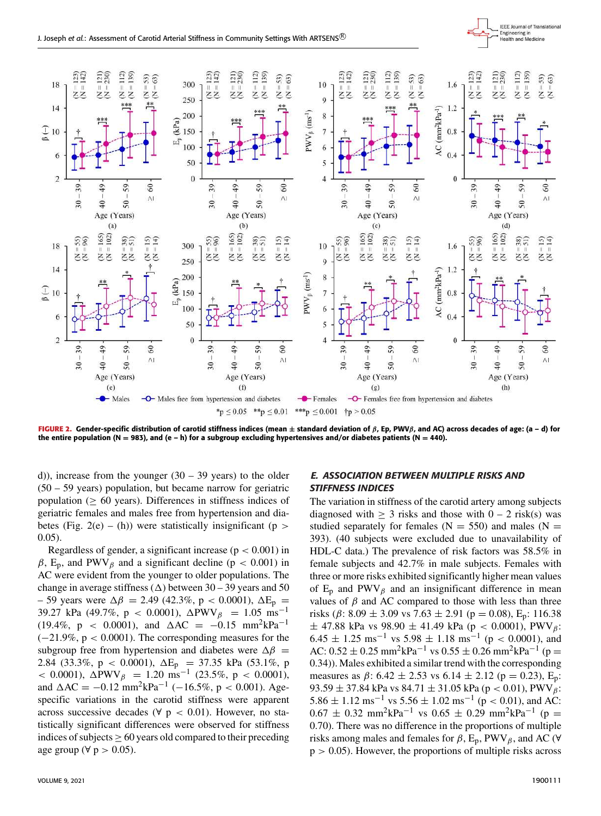

**FIGURE 2.** Gender-specific distribution of carotid stiffness indices (mean ± standard deviation of β, Ep, PWVβ, and AC) across decades of age: (a – d) for the entire population (N = 983), and (e - h) for a subgroup excluding hypertensives and/or diabetes patients (N = 440).

d)), increase from the younger  $(30 - 39 \text{ years})$  to the older (50 – 59 years) population, but became narrow for geriatric population ( $\geq 60$  years). Differences in stiffness indices of geriatric females and males free from hypertension and diabetes (Fig. 2(e) – (h)) were statistically insignificant (p  $>$ 0.05).

Regardless of gender, a significant increase ( $p < 0.001$ ) in  $\beta$ , E<sub>p</sub>, and PWV<sub>β</sub> and a significant decline (p < 0.001) in AC were evident from the younger to older populations. The change in average stiffness  $(\Delta)$  between 30 – 39 years and 50 – 59 years were  $\Delta \beta = 2.49$  (42.3%, p < 0.0001),  $\Delta E_p$  = 39.27 kPa (49.7%, p < 0.0001),  $\Delta$ PWV $_\beta$  = 1.05 ms<sup>-1</sup> (19.4%, p < 0.0001), and  $\Delta AC = -0.15$  mm<sup>2</sup>kPa<sup>-1</sup> (−21.9%, p < 0.0001). The corresponding measures for the subgroup free from hypertension and diabetes were  $\Delta \beta$  = 2.84 (33.3%, p < 0.0001),  $\Delta E_p$  = 37.35 kPa (53.1%, p  $<$  0.0001), ΔPWV<sub>β</sub> = 1.20 ms<sup>-1</sup> (23.5%, p < 0.0001), and  $\Delta AC = -0.12 \text{ mm}^2 \text{kPa}^{-1}$  (-16.5%, p < 0.001). Agespecific variations in the carotid stiffness were apparent across successive decades ( $\forall$  p < 0.01). However, no statistically significant differences were observed for stiffness indices of subjects  $\geq 60$  years old compared to their preceding age group ( $\forall p > 0.05$ ).

# E. ASSOCIATION BETWEEN MULTIPLE RISKS AND STIFFNESS INDICES

The variation in stiffness of the carotid artery among subjects diagnosed with  $> 3$  risks and those with  $0 - 2$  risk(s) was studied separately for females ( $N = 550$ ) and males ( $N =$ 393). (40 subjects were excluded due to unavailability of HDL-C data.) The prevalence of risk factors was 58.5% in female subjects and 42.7% in male subjects. Females with three or more risks exhibited significantly higher mean values of  $E_p$  and PWV<sub>β</sub> and an insignificant difference in mean values of  $\beta$  and AC compared to those with less than three risks ( $\beta$ : 8.09  $\pm$  3.09 vs 7.63  $\pm$  2.91 ( $p$  = 0.08), E<sub>p</sub>: 116.38  $\pm$  47.88 kPa vs 98.90  $\pm$  41.49 kPa (p < 0.0001), PWV<sub>B</sub>:  $6.45 \pm 1.25$  ms<sup>-1</sup> vs  $5.98 \pm 1.18$  ms<sup>-1</sup> (p < 0.0001), and AC:  $0.52 \pm 0.25$  mm<sup>2</sup>kPa<sup>-1</sup> vs  $0.55 \pm 0.26$  mm<sup>2</sup>kPa<sup>-1</sup> (p = 0.34)). Males exhibited a similar trend with the corresponding measures as  $\beta$ : 6.42  $\pm$  2.53 vs 6.14  $\pm$  2.12 (p = 0.23), E<sub>p</sub>: 93.59  $\pm$  37.84 kPa vs 84.71  $\pm$  31.05 kPa (p < 0.01), PWV $_{\beta}$ :  $5.86 \pm 1.12$  ms<sup>-1</sup> vs  $5.56 \pm 1.02$  ms<sup>-1</sup> (p < 0.01), and AC:  $0.67 \pm 0.32$  mm<sup>2</sup>kPa<sup>-1</sup> vs  $0.65 \pm 0.29$  mm<sup>2</sup>kPa<sup>-1</sup> (p = 0.70). There was no difference in the proportions of multiple risks among males and females for  $\beta$ ,  $E_p$ , PWV $_\beta$ , and AC ( $\forall$  $p > 0.05$ ). However, the proportions of multiple risks across

IEEE Journal of Translational Engineering in<br>Health and Medicine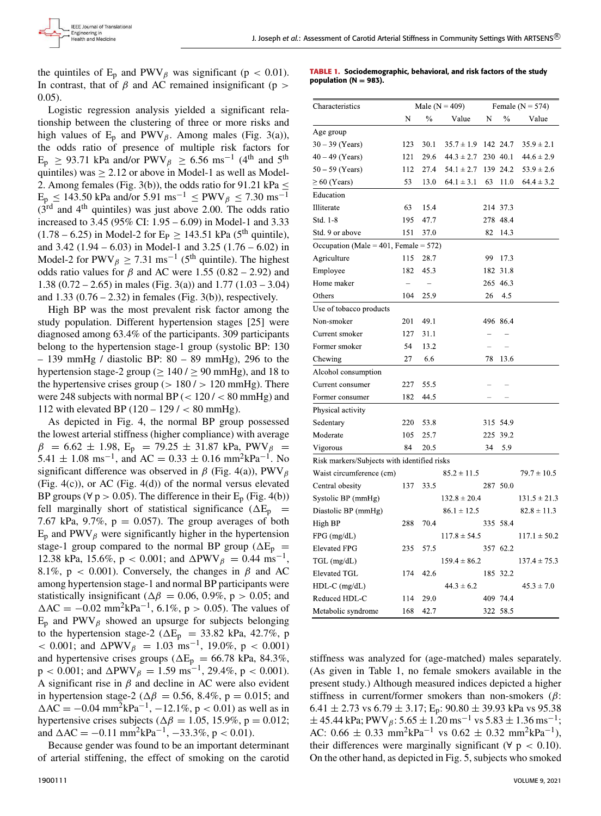the quintiles of  $E_p$  and PWV<sub>β</sub> was significant (p < 0.01). In contrast, that of  $\beta$  and AC remained insignificant (p > 0.05).

Logistic regression analysis yielded a significant relationship between the clustering of three or more risks and high values of  $E_p$  and PWV $_\beta$ . Among males (Fig. 3(a)), the odds ratio of presence of multiple risk factors for  $E_p \ge 93.71$  kPa and/or PWV<sub> $\beta$ </sub>  $\ge 6.56$  ms<sup>-1</sup> (4<sup>th</sup> and 5<sup>th</sup>) quintiles) was  $\geq 2.12$  or above in Model-1 as well as Model-2. Among females (Fig. 3(b)), the odds ratio for 91.21 kPa  $\leq$  $E_p \le 143.50$  kPa and/or 5.91 ms<sup>-1</sup> ≤ PWV<sub>β</sub> ≤ 7.30 ms<sup>-1</sup>  $(3<sup>rd</sup>$  and 4<sup>th</sup> quintiles) was just above 2.00. The odds ratio increased to 3.45 (95% CI: 1.95 – 6.09) in Model-1 and 3.33  $(1.78 - 6.25)$  in Model-2 for E<sub>P</sub>  $\geq$  143.51 kPa (5<sup>th</sup> quintile), and 3.42 (1.94 – 6.03) in Model-1 and 3.25 (1.76 – 6.02) in Model-2 for PWV<sub> $\beta$ </sub>  $\geq$  7.31 ms<sup>-1</sup> (5<sup>th</sup> quintile). The highest odds ratio values for  $\beta$  and AC were 1.55 (0.82 – 2.92) and 1.38 (0.72 – 2.65) in males (Fig. 3(a)) and 1.77 (1.03 – 3.04) and  $1.33$  (0.76 – 2.32) in females (Fig. 3(b)), respectively.

High BP was the most prevalent risk factor among the study population. Different hypertension stages [25] were diagnosed among 63.4% of the participants. 309 participants belong to the hypertension stage-1 group (systolic BP: 130  $-139$  mmHg / diastolic BP:  $80 - 89$  mmHg), 296 to the hypertension stage-2 group ( $> 140 / > 90$  mmHg), and 18 to the hypertensive crises group ( $> 180 / > 120$  mmHg). There were 248 subjects with normal BP  $\left($  < 120  $\right)$  < 80 mmHg) and 112 with elevated BP  $(120 - 129 / < 80 \text{ mmHg}).$ 

As depicted in Fig. 4, the normal BP group possessed the lowest arterial stiffness (higher compliance) with average  $\beta$  = 6.62 ± 1.98, E<sub>p</sub> = 79.25 ± 31.87 kPa, PWV<sub> $\beta$ </sub> =  $5.41 \pm 1.08 \text{ ms}^{-1}$ , and AC =  $0.33 \pm 0.16 \text{ mm}^2 \text{kPa}^{-1}$ . No significant difference was observed in  $\beta$  (Fig. 4(a)), PWV<sub>B</sub> (Fig.  $4(c)$ ), or AC (Fig.  $4(d)$ ) of the normal versus elevated BP groups ( $\forall p > 0.05$ ). The difference in their E<sub>p</sub> (Fig. 4(b)) fell marginally short of statistical significance ( $\Delta E_p$  = 7.67 kPa, 9.7%,  $p = 0.057$ ). The group averages of both  $E_p$  and PWV $_\beta$  were significantly higher in the hypertension stage-1 group compared to the normal BP group ( $\Delta E_p$  = 12.38 kPa, 15.6%, p < 0.001; and  $\Delta \text{PWV}_{\beta} = 0.44 \text{ ms}^{-1}$ , 8.1%,  $p < 0.001$ ). Conversely, the changes in  $\beta$  and AC among hypertension stage-1 and normal BP participants were statistically insignificant ( $\Delta \beta = 0.06, 0.9\%$ , p > 0.05; and  $\Delta AC = -0.02$  mm<sup>2</sup>kPa<sup>-1</sup>, 6.1%, p > 0.05). The values of  $E_p$  and PWV $_\beta$  showed an upsurge for subjects belonging to the hypertension stage-2 ( $\Delta E_p$  = 33.82 kPa, 42.7%, p < 0.001; and  $\triangle PWW_\beta = 1.03$  ms<sup>-1</sup>, 19.0%, p < 0.001) and hypertensive crises groups ( $\Delta E_p = 66.78$  kPa, 84.3%,  $p < 0.001$ ; and  $\Delta \text{PWV}_{\beta} = 1.59 \text{ ms}^{-1}$ , 29.4%,  $p < 0.001$ ). A significant rise in  $\beta$  and decline in AC were also evident in hypertension stage-2 ( $\Delta \beta = 0.56$ , 8.4%, p = 0.015; and  $\Delta AC = -0.04$  mm<sup>2</sup>kPa<sup>-1</sup>, -12.1%, p < 0.01) as well as in hypertensive crises subjects ( $\Delta \beta = 1.05$ , 15.9%, p = 0.012; and  $\Delta AC = -0.11$  mm<sup>2</sup>kPa<sup>-1</sup>, -33.3%, p < 0.01).

Because gender was found to be an important determinant of arterial stiffening, the effect of smoking on the carotid

**TABLE 1.** Sociodemographic, behavioral, and risk factors of the study population ( $N = 983$ ).

| Characteristics                             | Male ( $N = 409$ ) |                |                  | Female ( $N = 574$ ) |          |                  |
|---------------------------------------------|--------------------|----------------|------------------|----------------------|----------|------------------|
|                                             | N                  | $\frac{0}{0}$  | Value            | N                    | $\%$     | Value            |
| Age group                                   |                    |                |                  |                      |          |                  |
| $30 - 39$ (Years)                           | 123                | 30.1           | $35.7 \pm 1.9$   |                      | 142 24.7 | $35.9 \pm 2.1$   |
| $40 - 49$ (Years)                           | 121                | 29.6           | $44.3 \pm 2.7$   |                      | 230 40.1 | $44.6 \pm 2.9$   |
| $50 - 59$ (Years)                           | 112                | 27.4           | $54.1 \pm 2.7$   |                      | 139 24.2 | $53.9 \pm 2.6$   |
| $\geq 60$ (Years)                           | 53                 | 13.0           | $64.1 \pm 3.1$   | 63                   | 11.0     | $64.4 \pm 3.2$   |
| Education                                   |                    |                |                  |                      |          |                  |
| Illiterate                                  | 63                 | 15.4           |                  |                      | 214 37.3 |                  |
| Std. 1-8                                    | 195                | 47.7           |                  |                      | 278 48.4 |                  |
| Std. 9 or above                             | 151                | 37.0           |                  | 82                   | 14.3     |                  |
| Occupation (Male = $401$ , Female = $572$ ) |                    |                |                  |                      |          |                  |
| Agriculture                                 | 115                | 28.7           |                  | 99                   | 17.3     |                  |
| Employee                                    | 182                | 45.3           |                  | 182                  | 31.8     |                  |
| Home maker                                  | $\overline{a}$     | $\overline{a}$ |                  |                      | 265 46.3 |                  |
| Others                                      | 104                | 25.9           |                  | 26                   | 4.5      |                  |
| Use of tobacco products                     |                    |                |                  |                      |          |                  |
| Non-smoker                                  | 201                | 49.1           |                  |                      | 496 86.4 |                  |
| Current smoker                              | 127                | 31.1           |                  | L.                   |          |                  |
| Former smoker                               | 54                 | 13.2           |                  |                      | L.       |                  |
| Chewing                                     | 27                 | 6.6            |                  | 78                   | 13.6     |                  |
| Alcohol consumption                         |                    |                |                  |                      |          |                  |
| Current consumer                            | 227                | 55.5           |                  |                      |          |                  |
| Former consumer                             | 182                | 44.5           |                  |                      |          |                  |
| Physical activity                           |                    |                |                  |                      |          |                  |
| Sedentary                                   | 220                | 53.8           |                  |                      | 315 54.9 |                  |
| Moderate                                    | 105                | 25.7           |                  |                      | 225 39.2 |                  |
| Vigorous                                    | 84                 | 20.5           |                  | 34                   | 5.9      |                  |
| Risk markers/Subjects with identified risks |                    |                |                  |                      |          |                  |
| Waist circumference (cm)                    |                    |                | $85.2 \pm 11.5$  |                      |          | $79.7 \pm 10.5$  |
| Central obesity                             | 137                | 33.5           |                  |                      | 287 50.0 |                  |
| Systolic BP (mmHg)                          |                    |                | $132.8 \pm 20.4$ |                      |          | $131.5 \pm 21.3$ |
| Diastolic BP (mmHg)                         |                    |                | $86.1 \pm 12.5$  |                      |          | $82.8 \pm 11.3$  |
| High BP                                     | 288                | 70.4           |                  |                      | 335 58.4 |                  |
| FPG (mg/dL)                                 |                    |                | $117.8 \pm 54.5$ |                      |          | $117.1 \pm 50.2$ |
| <b>Elevated FPG</b>                         | 235                | 57.5           |                  |                      | 357 62.2 |                  |
| $TGL$ (mg/dL)                               |                    |                | $159.4 \pm 86.2$ |                      |          | $137.4 \pm 75.3$ |
| <b>Elevated TGL</b>                         | 174                | 42.6           |                  | 185                  | 32.2     |                  |
| $HDL-C$ (mg/dL)                             |                    |                | $44.3 \pm 6.2$   |                      |          | $45.3 \pm 7.0$   |
| Reduced HDL-C                               | 114                | 29.0           |                  |                      | 409 74.4 |                  |
| Metabolic syndrome                          | 168                | 42.7           |                  |                      | 322 58.5 |                  |

stiffness was analyzed for (age-matched) males separately. (As given in Table 1, no female smokers available in the present study.) Although measured indices depicted a higher stiffness in current/former smokers than non-smokers ( $\beta$ : 6.41  $\pm$  2.73 vs 6.79  $\pm$  3.17; E<sub>p</sub>: 90.80  $\pm$  39.93 kPa vs 95.38  $\pm$  45.44 kPa; PWV<sub>β</sub>: 5.65  $\pm$  1.20 ms<sup>-1</sup> vs 5.83  $\pm$  1.36 ms<sup>-1</sup>; AC:  $0.66 \pm 0.33$  mm<sup>2</sup>kPa<sup>-1</sup> vs  $0.62 \pm 0.32$  mm<sup>2</sup>kPa<sup>-1</sup>), their differences were marginally significant ( $\forall p < 0.10$ ). On the other hand, as depicted in Fig. 5, subjects who smoked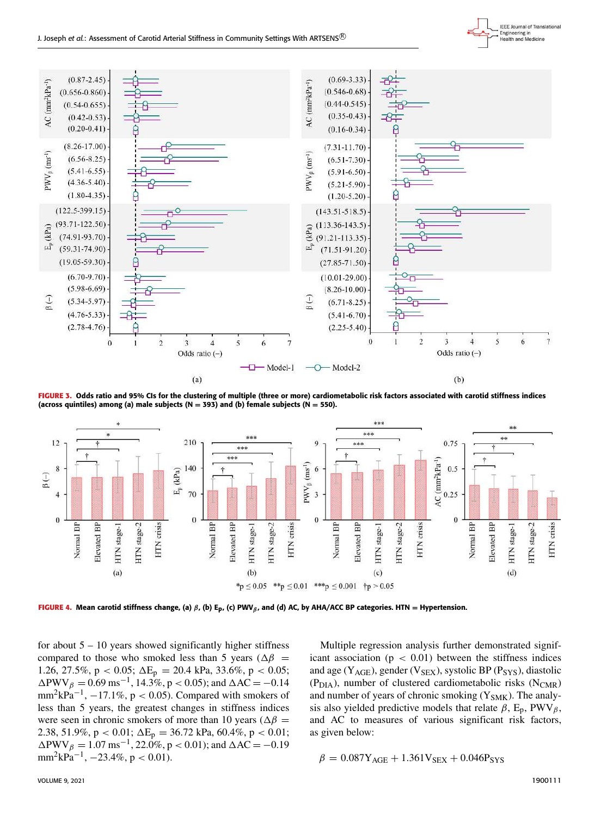



FIGURE 3. Odds ratio and 95% CIs for the clustering of multiple (three or more) cardiometabolic risk factors associated with carotid stiffness indices (across quintiles) among (a) male subjects (N = 393) and (b) female subjects (N = 550).



**FIGURE 4.** Mean carotid stiffness change, (a) β, (b) E<sub>p</sub>, (c) PWV<sub>β</sub>, and (d) AC, by AHA/ACC BP categories. HTN = Hypertension.

for about  $5 - 10$  years showed significantly higher stiffness compared to those who smoked less than 5 years ( $\Delta\beta$  = 1.26, 27.5%, p < 0.05;  $\Delta E_p = 20.4$  kPa, 33.6%, p < 0.05;  $\triangle$ PWV $_{\beta} = 0.69 \text{ ms}^{-1}$ , 14.3%, p < 0.05); and  $\triangle$ AC = -0.14  $mm^2kPa^{-1}$ ,  $-17.1\%$ ,  $p < 0.05$ ). Compared with smokers of less than 5 years, the greatest changes in stiffness indices were seen in chronic smokers of more than 10 years ( $\Delta\beta$  = 2.38, 51.9%, p < 0.01;  $\Delta E_p = 36.72$  kPa, 60.4%, p < 0.01;  $\triangle$ PWV $_{\beta} = 1.07 \text{ ms}^{-1}$ , 22.0%, p < 0.01); and  $\triangle$ AC = -0.19  $mm<sup>2</sup>kPa<sup>-1</sup>, -23.4%, p < 0.01$ ).

Multiple regression analysis further demonstrated significant association ( $p < 0.01$ ) between the stiffness indices and age ( $Y_{AGE}$ ), gender ( $V_{SEX}$ ), systolic BP ( $P_{SYS}$ ), diastolic ( $P<sub>DIA</sub>$ ), number of clustered cardiometabolic risks ( $N<sub>CMR</sub>$ ) and number of years of chronic smoking  $(Y_{SMK})$ . The analysis also yielded predictive models that relate  $\beta$ , E<sub>p</sub>, PWV<sub> $\beta$ </sub>, and AC to measures of various significant risk factors, as given below:

$$
\beta = 0.087Y_{\text{AGE}} + 1.361V_{\text{SEX}} + 0.046P_{\text{SYS}}
$$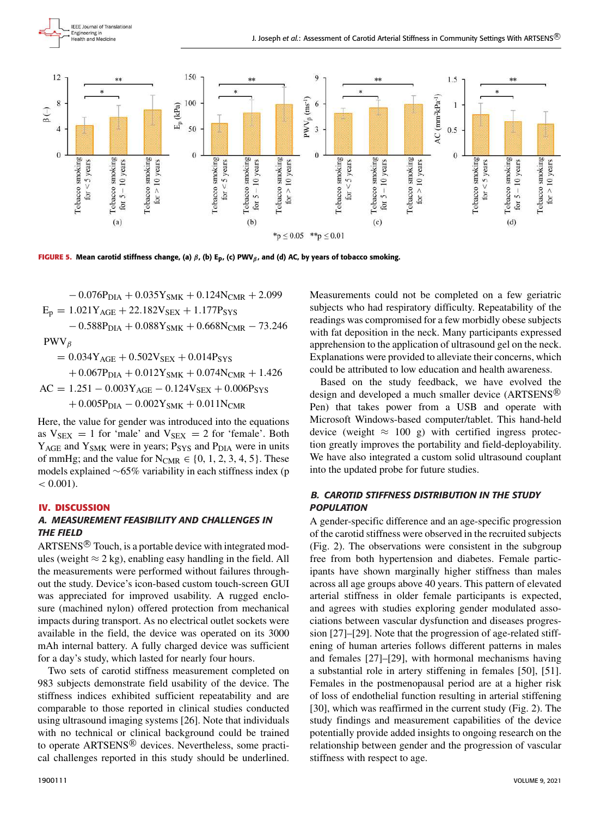



**FIGURE 5.** Mean carotid stiffness change, (a)  $\beta$ , (b) E<sub>D</sub>, (c) PWV<sub>β</sub>, and (d) AC, by years of tobacco smoking.

 $-0.076P<sub>DIA</sub> + 0.035Y<sub>SMK</sub> + 0.124N<sub>CMR</sub> + 2.099$  $E_p = 1.021Y_{AGE} + 22.182V_{SEX} + 1.177P_{SYS}$  $-0.588P<sub>DIA</sub> + 0.088Y<sub>SMK</sub> + 0.668N<sub>CMR</sub> - 73.246$ PWV<sub>β</sub>  $= 0.034Y_{\text{AGE}} + 0.502V_{\text{SEX}} + 0.014P_{\text{SYS}}$  $+ 0.067P<sub>DIA</sub> + 0.012Y<sub>SMK</sub> + 0.074N<sub>CMR</sub> + 1.426$ 

 $AC = 1.251 - 0.003Y_{AGE} - 0.124V_{SEX} + 0.006P_{SYS}$  $+ 0.005P<sub>DIA</sub> - 0.002Y<sub>SMK</sub> + 0.011N<sub>CMR</sub>$ 

Here, the value for gender was introduced into the equations as  $V_{SEX} = 1$  for 'male' and  $V_{SEX} = 2$  for 'female'. Both Y<sub>AGE</sub> and Y<sub>SMK</sub> were in years; P<sub>SYS</sub> and P<sub>DIA</sub> were in units of mmHg; and the value for  $N_{CMR} \in \{0, 1, 2, 3, 4, 5\}$ . These models explained ∼65% variability in each stiffness index (p  $< 0.001$ ).

## **IV. DISCUSSION**

# A. MEASUREMENT FEASIBILITY AND CHALLENGES IN THE FIELD

 $ARTSENS^{\circledR}$  Touch, is a portable device with integrated modules (weight  $\approx$  2 kg), enabling easy handling in the field. All the measurements were performed without failures throughout the study. Device's icon-based custom touch-screen GUI was appreciated for improved usability. A rugged enclosure (machined nylon) offered protection from mechanical impacts during transport. As no electrical outlet sockets were available in the field, the device was operated on its 3000 mAh internal battery. A fully charged device was sufficient for a day's study, which lasted for nearly four hours.

Two sets of carotid stiffness measurement completed on 983 subjects demonstrate field usability of the device. The stiffness indices exhibited sufficient repeatability and are comparable to those reported in clinical studies conducted using ultrasound imaging systems [26]. Note that individuals with no technical or clinical background could be trained to operate ARTSENS<sup>®</sup> devices. Nevertheless, some practical challenges reported in this study should be underlined.

readings was compromised for a few morbidly obese subjects with fat deposition in the neck. Many participants expressed apprehension to the application of ultrasound gel on the neck. Explanations were provided to alleviate their concerns, which could be attributed to low education and health awareness. Based on the study feedback, we have evolved the design and developed a much smaller device (ARTSENS<sup>®</sup>

Pen) that takes power from a USB and operate with Microsoft Windows-based computer/tablet. This hand-held device (weight  $\approx 100$  g) with certified ingress protection greatly improves the portability and field-deployability. We have also integrated a custom solid ultrasound couplant into the updated probe for future studies.

Measurements could not be completed on a few geriatric subjects who had respiratory difficulty. Repeatability of the

# B. CAROTID STIFFNESS DISTRIBUTION IN THE STUDY **POPULATION**

A gender-specific difference and an age-specific progression of the carotid stiffness were observed in the recruited subjects (Fig. 2). The observations were consistent in the subgroup free from both hypertension and diabetes. Female participants have shown marginally higher stiffness than males across all age groups above 40 years. This pattern of elevated arterial stiffness in older female participants is expected, and agrees with studies exploring gender modulated associations between vascular dysfunction and diseases progression [27]–[29]. Note that the progression of age-related stiffening of human arteries follows different patterns in males and females [27]–[29], with hormonal mechanisms having a substantial role in artery stiffening in females [50], [51]. Females in the postmenopausal period are at a higher risk of loss of endothelial function resulting in arterial stiffening [30], which was reaffirmed in the current study (Fig. 2). The study findings and measurement capabilities of the device potentially provide added insights to ongoing research on the relationship between gender and the progression of vascular stiffness with respect to age.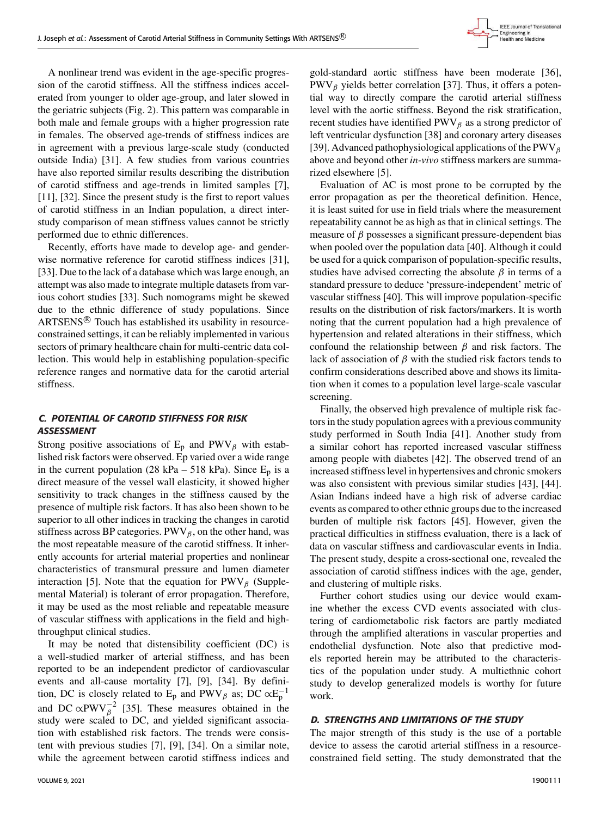

A nonlinear trend was evident in the age-specific progression of the carotid stiffness. All the stiffness indices accelerated from younger to older age-group, and later slowed in the geriatric subjects (Fig. 2). This pattern was comparable in both male and female groups with a higher progression rate in females. The observed age-trends of stiffness indices are in agreement with a previous large-scale study (conducted outside India) [31]. A few studies from various countries have also reported similar results describing the distribution of carotid stiffness and age-trends in limited samples [7], [11], [32]. Since the present study is the first to report values of carotid stiffness in an Indian population, a direct interstudy comparison of mean stiffness values cannot be strictly performed due to ethnic differences.

Recently, efforts have made to develop age- and genderwise normative reference for carotid stiffness indices [31], [33]. Due to the lack of a database which was large enough, an attempt was also made to integrate multiple datasets from various cohort studies [33]. Such nomograms might be skewed due to the ethnic difference of study populations. Since ARTSENS<sup>®</sup> Touch has established its usability in resourceconstrained settings, it can be reliably implemented in various sectors of primary healthcare chain for multi-centric data collection. This would help in establishing population-specific reference ranges and normative data for the carotid arterial stiffness.

## C. POTENTIAL OF CAROTID STIFFNESS FOR RISK ASSESSMENT

Strong positive associations of  $E_p$  and PWV $_\beta$  with established risk factors were observed. Ep varied over a wide range in the current population (28 kPa – 518 kPa). Since  $E_p$  is a direct measure of the vessel wall elasticity, it showed higher sensitivity to track changes in the stiffness caused by the presence of multiple risk factors. It has also been shown to be superior to all other indices in tracking the changes in carotid stiffness across BP categories. PWV $_\beta$ , on the other hand, was the most repeatable measure of the carotid stiffness. It inherently accounts for arterial material properties and nonlinear characteristics of transmural pressure and lumen diameter interaction [5]. Note that the equation for  $PWV_\beta$  (Supplemental Material) is tolerant of error propagation. Therefore, it may be used as the most reliable and repeatable measure of vascular stiffness with applications in the field and highthroughput clinical studies.

It may be noted that distensibility coefficient (DC) is a well-studied marker of arterial stiffness, and has been reported to be an independent predictor of cardiovascular events and all-cause mortality [7], [9], [34]. By definition, DC is closely related to  $E_p$  and PWV<sub> $\beta$ </sub> as; DC  $\propto E_p^{-1}$ and DC  $\propto$ PWV $_{\beta}^{-2}$  [35]. These measures obtained in the study were scaled to DC, and yielded significant association with established risk factors. The trends were consistent with previous studies [7], [9], [34]. On a similar note, while the agreement between carotid stiffness indices and

gold-standard aortic stiffness have been moderate [36],  $PWV_\beta$  yields better correlation [37]. Thus, it offers a potential way to directly compare the carotid arterial stiffness level with the aortic stiffness. Beyond the risk stratification, recent studies have identified  $PWV_\beta$  as a strong predictor of left ventricular dysfunction [38] and coronary artery diseases [39]. Advanced pathophysiological applications of the PWV $_\beta$ above and beyond other *in-vivo* stiffness markers are summarized elsewhere [5].

Evaluation of AC is most prone to be corrupted by the error propagation as per the theoretical definition. Hence, it is least suited for use in field trials where the measurement repeatability cannot be as high as that in clinical settings. The measure of  $\beta$  possesses a significant pressure-dependent bias when pooled over the population data [40]. Although it could be used for a quick comparison of population-specific results, studies have advised correcting the absolute  $\beta$  in terms of a standard pressure to deduce 'pressure-independent' metric of vascular stiffness [40]. This will improve population-specific results on the distribution of risk factors/markers. It is worth noting that the current population had a high prevalence of hypertension and related alterations in their stiffness, which confound the relationship between  $\beta$  and risk factors. The lack of association of  $\beta$  with the studied risk factors tends to confirm considerations described above and shows its limitation when it comes to a population level large-scale vascular screening.

Finally, the observed high prevalence of multiple risk factors in the study population agrees with a previous community study performed in South India [41]. Another study from a similar cohort has reported increased vascular stiffness among people with diabetes [42]. The observed trend of an increased stiffness level in hypertensives and chronic smokers was also consistent with previous similar studies [43], [44]. Asian Indians indeed have a high risk of adverse cardiac events as compared to other ethnic groups due to the increased burden of multiple risk factors [45]. However, given the practical difficulties in stiffness evaluation, there is a lack of data on vascular stiffness and cardiovascular events in India. The present study, despite a cross-sectional one, revealed the association of carotid stiffness indices with the age, gender, and clustering of multiple risks.

Further cohort studies using our device would examine whether the excess CVD events associated with clustering of cardiometabolic risk factors are partly mediated through the amplified alterations in vascular properties and endothelial dysfunction. Note also that predictive models reported herein may be attributed to the characteristics of the population under study. A multiethnic cohort study to develop generalized models is worthy for future work.

#### D. STRENGTHS AND LIMITATIONS OF THE STUDY

The major strength of this study is the use of a portable device to assess the carotid arterial stiffness in a resourceconstrained field setting. The study demonstrated that the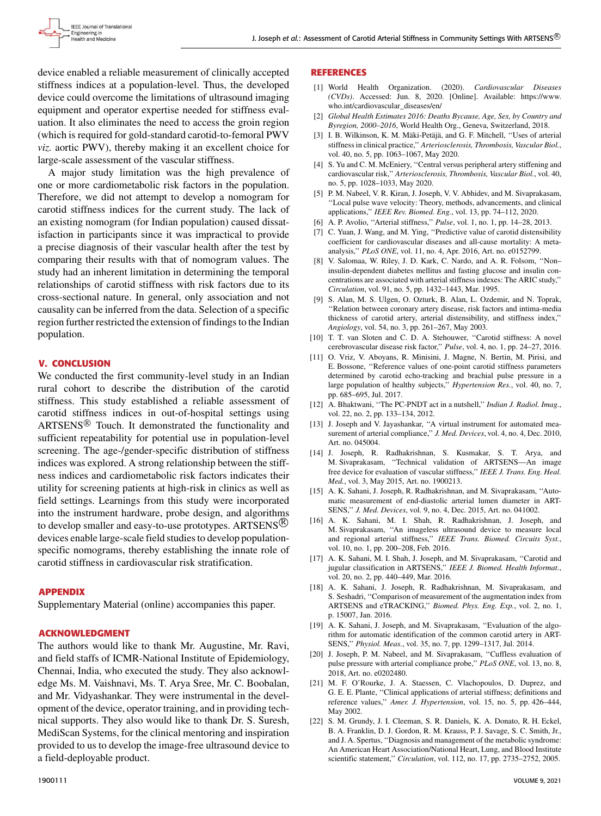device enabled a reliable measurement of clinically accepted stiffness indices at a population-level. Thus, the developed device could overcome the limitations of ultrasound imaging equipment and operator expertise needed for stiffness evaluation. It also eliminates the need to access the groin region (which is required for gold-standard carotid-to-femoral PWV *viz.* aortic PWV), thereby making it an excellent choice for large-scale assessment of the vascular stiffness.

A major study limitation was the high prevalence of one or more cardiometabolic risk factors in the population. Therefore, we did not attempt to develop a nomogram for carotid stiffness indices for the current study. The lack of an existing nomogram (for Indian population) caused dissatisfaction in participants since it was impractical to provide a precise diagnosis of their vascular health after the test by comparing their results with that of nomogram values. The study had an inherent limitation in determining the temporal relationships of carotid stiffness with risk factors due to its cross-sectional nature. In general, only association and not causality can be inferred from the data. Selection of a specific region further restricted the extension of findings to the Indian population.

#### **V. CONCLUSION**

We conducted the first community-level study in an Indian rural cohort to describe the distribution of the carotid stiffness. This study established a reliable assessment of carotid stiffness indices in out-of-hospital settings using ARTSENS® Touch. It demonstrated the functionality and sufficient repeatability for potential use in population-level screening. The age-/gender-specific distribution of stiffness indices was explored. A strong relationship between the stiffness indices and cardiometabolic risk factors indicates their utility for screening patients at high-risk in clinics as well as field settings. Learnings from this study were incorporated into the instrument hardware, probe design, and algorithms to develop smaller and easy-to-use prototypes. ARTSENS<sup>(8)</sup> devices enable large-scale field studies to develop populationspecific nomograms, thereby establishing the innate role of carotid stiffness in cardiovascular risk stratification.

#### **APPENDIX**

Supplementary Material (online) accompanies this paper.

#### **ACKNOWLEDGMENT**

The authors would like to thank Mr. Augustine, Mr. Ravi, and field staffs of ICMR-National Institute of Epidemiology, Chennai, India, who executed the study. They also acknowledge Ms. M. Vaishnavi, Ms. T. Arya Sree, Mr. C. Boobalan, and Mr. Vidyashankar. They were instrumental in the development of the device, operator training, and in providing technical supports. They also would like to thank Dr. S. Suresh, MediScan Systems, for the clinical mentoring and inspiration provided to us to develop the image-free ultrasound device to a field-deployable product.

#### **REFERENCES**

- [1] World Health Organization. (2020). *Cardiovascular Diseases (CVDs)*. Accessed: Jun. 8, 2020. [Online]. Available: https://www. who.int/cardiovascular\_diseases/en/
- [2] *Global Health Estimates 2016: Deaths Bycause, Age, Sex, by Country and Byregion, 2000–2016*, World Health Org., Geneva, Switzerland, 2018.
- [3] I. B. Wilkinson, K. M. Mäki-Petäjä, and G. F. Mitchell, ''Uses of arterial stiffness in clinical practice,'' *Arteriosclerosis, Thrombosis, Vascular Biol.*, vol. 40, no. 5, pp. 1063–1067, May 2020.
- [4] S. Yu and C. M. McEniery, "Central versus peripheral artery stiffening and cardiovascular risk,'' *Arteriosclerosis, Thrombosis, Vascular Biol.*, vol. 40, no. 5, pp. 1028–1033, May 2020.
- [5] P. M. Nabeel, V. R. Kiran, J. Joseph, V. V. Abhidev, and M. Sivaprakasam, ''Local pulse wave velocity: Theory, methods, advancements, and clinical applications,'' *IEEE Rev. Biomed. Eng.*, vol. 13, pp. 74–112, 2020.
- [6] A. P. Avolio, ''Arterial stiffness,'' *Pulse*, vol. 1, no. 1, pp. 14–28, 2013.
- [7] C. Yuan, J. Wang, and M. Ying, ''Predictive value of carotid distensibility coefficient for cardiovascular diseases and all-cause mortality: A metaanalysis,'' *PLoS ONE*, vol. 11, no. 4, Apr. 2016, Art. no. e0152799.
- [8] V. Salomaa, W. Riley, J. D. Kark, C. Nardo, and A. R. Folsom, ''Non– insulin-dependent diabetes mellitus and fasting glucose and insulin concentrations are associated with arterial stiffness indexes: The ARIC study,'' *Circulation*, vol. 91, no. 5, pp. 1432–1443, Mar. 1995.
- [9] S. Alan, M. S. Ulgen, O. Ozturk, B. Alan, L. Ozdemir, and N. Toprak, ''Relation between coronary artery disease, risk factors and intima-media thickness of carotid artery, arterial distensibility, and stiffness index,'' *Angiology*, vol. 54, no. 3, pp. 261–267, May 2003.
- [10] T. T. van Sloten and C. D. A. Stehouwer, "Carotid stiffness: A novel cerebrovascular disease risk factor,'' *Pulse*, vol. 4, no. 1, pp. 24–27, 2016.
- [11] O. Vriz, V. Aboyans, R. Minisini, J. Magne, N. Bertin, M. Pirisi, and E. Bossone, ''Reference values of one-point carotid stiffness parameters determined by carotid echo-tracking and brachial pulse pressure in a large population of healthy subjects,'' *Hypertension Res.*, vol. 40, no. 7, pp. 685–695, Jul. 2017.
- [12] A. Bhaktwani, ''The PC-PNDT act in a nutshell,'' *Indian J. Radiol. Imag.*, vol. 22, no. 2, pp. 133–134, 2012.
- [13] J. Joseph and V. Jayashankar, "A virtual instrument for automated measurement of arterial compliance,'' *J. Med. Devices*, vol. 4, no. 4, Dec. 2010, Art. no. 045004.
- [14] J. Joseph, R. Radhakrishnan, S. Kusmakar, S. T. Arya, and M. Sivaprakasam, ''Technical validation of ARTSENS—An image free device for evaluation of vascular stiffness,'' *IEEE J. Trans. Eng. Heal. Med.*, vol. 3, May 2015, Art. no. 1900213.
- [15] A. K. Sahani, J. Joseph, R. Radhakrishnan, and M. Sivaprakasam, ''Automatic measurement of end-diastolic arterial lumen diameter in ART-SENS,'' *J. Med. Devices*, vol. 9, no. 4, Dec. 2015, Art. no. 041002.
- [16] A. K. Sahani, M. I. Shah, R. Radhakrishnan, J. Joseph, and M. Sivaprakasam, ''An imageless ultrasound device to measure local and regional arterial stiffness,'' *IEEE Trans. Biomed. Circuits Syst.*, vol. 10, no. 1, pp. 200–208, Feb. 2016.
- [17] A. K. Sahani, M. I. Shah, J. Joseph, and M. Sivaprakasam, "Carotid and jugular classification in ARTSENS,'' *IEEE J. Biomed. Health Informat.*, vol. 20, no. 2, pp. 440–449, Mar. 2016.
- [18] A. K. Sahani, J. Joseph, R. Radhakrishnan, M. Sivaprakasam, and S. Seshadri, ''Comparison of measurement of the augmentation index from ARTSENS and eTRACKING,'' *Biomed. Phys. Eng. Exp.*, vol. 2, no. 1, p. 15007, Jan. 2016.
- [19] A. K. Sahani, J. Joseph, and M. Sivaprakasam, "Evaluation of the algorithm for automatic identification of the common carotid artery in ART-SENS,'' *Physiol. Meas.*, vol. 35, no. 7, pp. 1299–1317, Jul. 2014.
- [20] J. Joseph, P. M. Nabeel, and M. Sivaprakasam, "Cuffless evaluation of pulse pressure with arterial compliance probe,'' *PLoS ONE*, vol. 13, no. 8, 2018, Art. no. e0202480.
- [21] M. F. O'Rourke, J. A. Staessen, C. Vlachopoulos, D. Duprez, and G. E. E. Plante, ''Clinical applications of arterial stiffness; definitions and reference values,'' *Amer. J. Hypertension*, vol. 15, no. 5, pp. 426–444, May 2002.
- [22] S. M. Grundy, J. I. Cleeman, S. R. Daniels, K. A. Donato, R. H. Eckel, B. A. Franklin, D. J. Gordon, R. M. Krauss, P. J. Savage, S. C. Smith, Jr., and J. A. Spertus, ''Diagnosis and management of the metabolic syndrome: An American Heart Association/National Heart, Lung, and Blood Institute scientific statement,'' *Circulation*, vol. 112, no. 17, pp. 2735–2752, 2005.